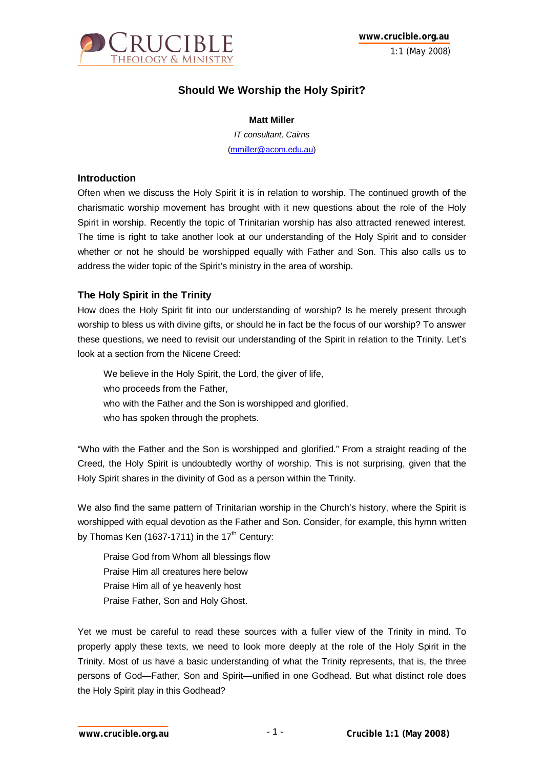

# **Should We Worship the Holy Spirit?**

#### **Matt Miller**

*IT consultant, Cairns* (mmiller@acom.edu.au)

#### **Introduction**

Often when we discuss the Holy Spirit it is in relation to worship. The continued growth of the charismatic worship movement has brought with it new questions about the role of the Holy Spirit in worship. Recently the topic of Trinitarian worship has also attracted renewed interest. The time is right to take another look at our understanding of the Holy Spirit and to consider whether or not he should be worshipped equally with Father and Son. This also calls us to address the wider topic of the Spirit's ministry in the area of worship.

## **The Holy Spirit in the Trinity**

How does the Holy Spirit fit into our understanding of worship? Is he merely present through worship to bless us with divine gifts, or should he in fact be the focus of our worship? To answer these questions, we need to revisit our understanding of the Spirit in relation to the Trinity. Let's look at a section from the Nicene Creed:

We believe in the Holy Spirit, the Lord, the giver of life, who proceeds from the Father, who with the Father and the Son is worshipped and glorified, who has spoken through the prophets.

"Who with the Father and the Son is worshipped and glorified." From a straight reading of the Creed, the Holy Spirit is undoubtedly worthy of worship. This is not surprising, given that the Holy Spirit shares in the divinity of God as a person within the Trinity.

We also find the same pattern of Trinitarian worship in the Church's history, where the Spirit is worshipped with equal devotion as the Father and Son. Consider, for example, this hymn written by Thomas Ken (1637-1711) in the  $17<sup>th</sup>$  Century:

Praise God from Whom all blessings flow Praise Him all creatures here below Praise Him all of ye heavenly host Praise Father, Son and Holy Ghost.

Yet we must be careful to read these sources with a fuller view of the Trinity in mind. To properly apply these texts, we need to look more deeply at the role of the Holy Spirit in the Trinity. Most of us have a basic understanding of what the Trinity represents, that is, the three persons of God—Father, Son and Spirit—unified in one Godhead. But what distinct role does the Holy Spirit play in this Godhead?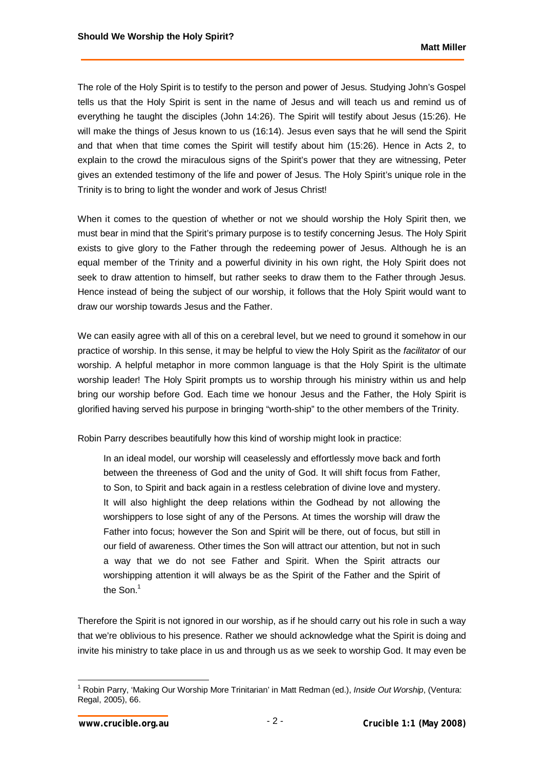The role of the Holy Spirit is to testify to the person and power of Jesus. Studying John's Gospel tells us that the Holy Spirit is sent in the name of Jesus and will teach us and remind us of everything he taught the disciples (John 14:26). The Spirit will testify about Jesus (15:26). He will make the things of Jesus known to us (16:14). Jesus even says that he will send the Spirit and that when that time comes the Spirit will testify about him (15:26). Hence in Acts 2, to explain to the crowd the miraculous signs of the Spirit's power that they are witnessing, Peter gives an extended testimony of the life and power of Jesus. The Holy Spirit's unique role in the Trinity is to bring to light the wonder and work of Jesus Christ!

When it comes to the question of whether or not we should worship the Holy Spirit then, we must bear in mind that the Spirit's primary purpose is to testify concerning Jesus. The Holy Spirit exists to give glory to the Father through the redeeming power of Jesus. Although he is an equal member of the Trinity and a powerful divinity in his own right, the Holy Spirit does not seek to draw attention to himself, but rather seeks to draw them to the Father through Jesus. Hence instead of being the subject of our worship, it follows that the Holy Spirit would want to draw our worship towards Jesus and the Father.

We can easily agree with all of this on a cerebral level, but we need to ground it somehow in our practice of worship. In this sense, it may be helpful to view the Holy Spirit as the *facilitator* of our worship. A helpful metaphor in more common language is that the Holy Spirit is the ultimate worship leader! The Holy Spirit prompts us to worship through his ministry within us and help bring our worship before God. Each time we honour Jesus and the Father, the Holy Spirit is glorified having served his purpose in bringing "worth-ship" to the other members of the Trinity.

Robin Parry describes beautifully how this kind of worship might look in practice:

In an ideal model, our worship will ceaselessly and effortlessly move back and forth between the threeness of God and the unity of God. It will shift focus from Father, to Son, to Spirit and back again in a restless celebration of divine love and mystery. It will also highlight the deep relations within the Godhead by not allowing the worshippers to lose sight of any of the Persons. At times the worship will draw the Father into focus; however the Son and Spirit will be there, out of focus, but still in our field of awareness. Other times the Son will attract our attention, but not in such a way that we do not see Father and Spirit. When the Spirit attracts our worshipping attention it will always be as the Spirit of the Father and the Spirit of the Son.<sup>1</sup>

Therefore the Spirit is not ignored in our worship, as if he should carry out his role in such a way that we're oblivious to his presence. Rather we should acknowledge what the Spirit is doing and invite his ministry to take place in us and through us as we seek to worship God. It may even be

 1 Robin Parry, 'Making Our Worship More Trinitarian' in Matt Redman (ed.), *Inside Out Worship*, (Ventura: Regal, 2005), 66.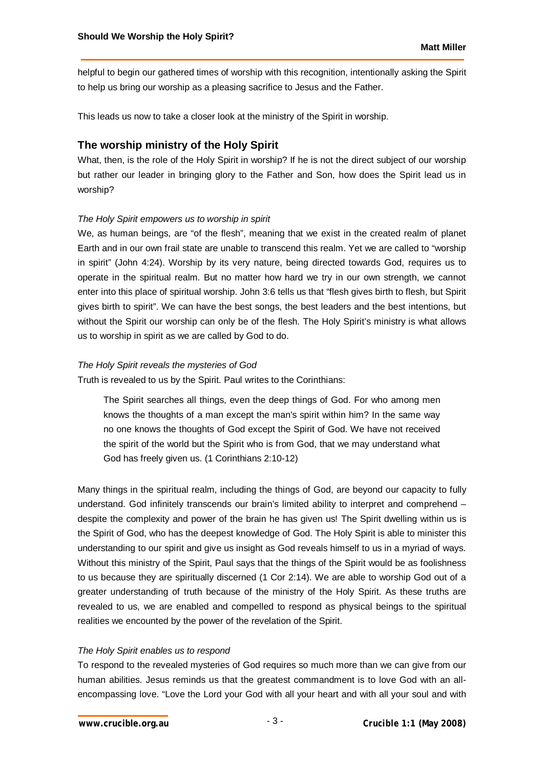helpful to begin our gathered times of worship with this recognition, intentionally asking the Spirit to help us bring our worship as a pleasing sacrifice to Jesus and the Father.

This leads us now to take a closer look at the ministry of the Spirit in worship.

## **The worship ministry of the Holy Spirit**

What, then, is the role of the Holy Spirit in worship? If he is not the direct subject of our worship but rather our leader in bringing glory to the Father and Son, how does the Spirit lead us in worship?

#### *The Holy Spirit empowers us to worship in spirit*

We, as human beings, are "of the flesh", meaning that we exist in the created realm of planet Earth and in our own frail state are unable to transcend this realm. Yet we are called to "worship in spirit" (John 4:24). Worship by its very nature, being directed towards God, requires us to operate in the spiritual realm. But no matter how hard we try in our own strength, we cannot enter into this place of spiritual worship. John 3:6 tells us that "flesh gives birth to flesh, but Spirit gives birth to spirit". We can have the best songs, the best leaders and the best intentions, but without the Spirit our worship can only be of the flesh. The Holy Spirit's ministry is what allows us to worship in spirit as we are called by God to do.

#### *The Holy Spirit reveals the mysteries of God*

Truth is revealed to us by the Spirit. Paul writes to the Corinthians:

The Spirit searches all things, even the deep things of God. For who among men knows the thoughts of a man except the man's spirit within him? In the same way no one knows the thoughts of God except the Spirit of God. We have not received the spirit of the world but the Spirit who is from God, that we may understand what God has freely given us. (1 Corinthians 2:10-12)

Many things in the spiritual realm, including the things of God, are beyond our capacity to fully understand. God infinitely transcends our brain's limited ability to interpret and comprehend – despite the complexity and power of the brain he has given us! The Spirit dwelling within us is the Spirit of God, who has the deepest knowledge of God. The Holy Spirit is able to minister this understanding to our spirit and give us insight as God reveals himself to us in a myriad of ways. Without this ministry of the Spirit, Paul says that the things of the Spirit would be as foolishness to us because they are spiritually discerned (1 Cor 2:14). We are able to worship God out of a greater understanding of truth because of the ministry of the Holy Spirit. As these truths are revealed to us, we are enabled and compelled to respond as physical beings to the spiritual realities we encounted by the power of the revelation of the Spirit.

#### *The Holy Spirit enables us to respond*

To respond to the revealed mysteries of God requires so much more than we can give from our human abilities. Jesus reminds us that the greatest commandment is to love God with an allencompassing love. "Love the Lord your God with all your heart and with all your soul and with